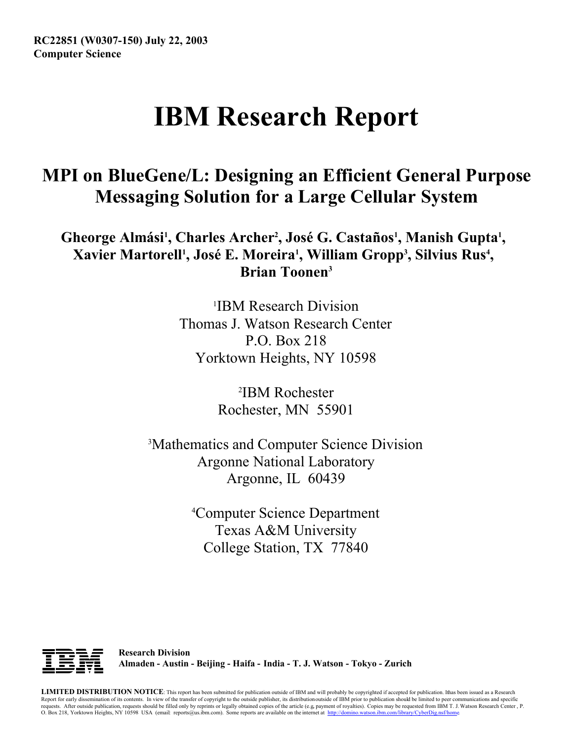**RC22851 (W0307-150) July 22, 2003 Computer Science**

# **IBM Research Report**

## **MPI on BlueGene/L: Designing an Efficient General Purpose Messaging Solution for a Large Cellular System**

Gheorge Almási<sup>1</sup>, Charles Archer<sup>2</sup>, José G. Castaños<sup>1</sup>, Manish Gupta<sup>1</sup>, Xavier Martorell<sup>1</sup>, José E. Moreira<sup>1</sup>, William Gropp<sup>3</sup>, Silvius Rus<sup>4</sup>, **Brian Toonen3**

> 1 IBM Research Division Thomas J. Watson Research Center P.O. Box 218 Yorktown Heights, NY 10598

> > 2 IBM Rochester Rochester, MN 55901

3 Mathematics and Computer Science Division Argonne National Laboratory Argonne, IL 60439

> 4 Computer Science Department Texas A&M University College Station, TX 77840



**Research Division Almaden - Austin - Beijing - Haifa - India - T. J. Watson - Tokyo - Zurich**

LIMITED DISTRIBUTION NOTICE: This report has been submitted for publication outside of IBM and will probably be copyrighted if accepted for publication. Ithas been issued as a Research Report for early dissemination of its contents. In view of the transfer of copyright to the outside publisher, its distribution outside of IBM prior to publication should be limited to peer communications and specific requests. After outside publication, requests should be filled only by reprints or legally obtained copies of the article (e.g. payment of royalties). Copies may be requested from IBM T. J. Watson Research Center , P.<br>O. B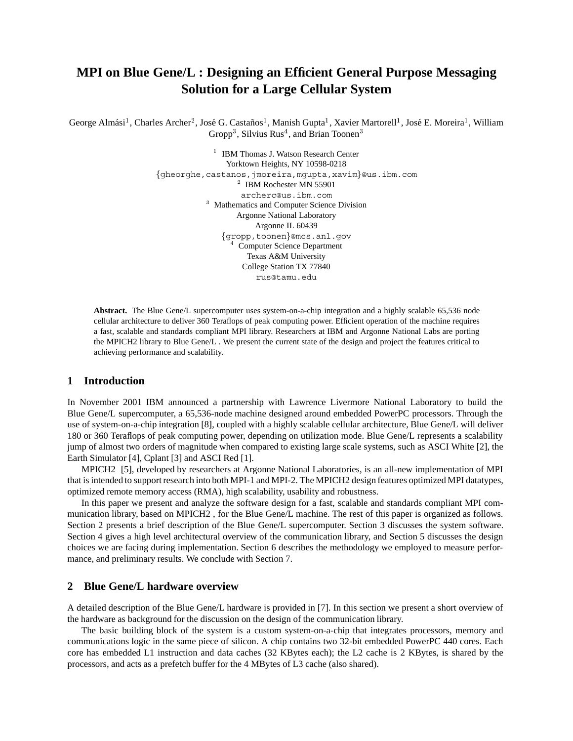### **MPI on Blue Gene/L : Designing an Efficient General Purpose Messaging Solution for a Large Cellular System**

George Almási<sup>1</sup>, Charles Archer<sup>2</sup>, José G. Castaños<sup>1</sup>, Manish Gupta<sup>1</sup>, Xavier Martorell<sup>1</sup>, José E. Moreira<sup>1</sup>, William Gropp<sup>3</sup>, Silvius Rus<sup>4</sup>, and Brian Toonen<sup>3</sup>

> <sup>1</sup> IBM Thomas J. Watson Research Center Yorktown Heights, NY 10598-0218 gheorghe,castanos,jmoreira,mgupta,xavim@us.ibm.com  $\mu$ <sup>2</sup> IBM Rochester MN 55901 archerc@us.ibm.com <sup>3</sup> Mathematics and Computer Science Division Argonne National Laboratory Argonne IL 60439 gropp,toonen@mcs.anl.gov <sup>4</sup> Computer Science Department Texas A&M University College Station TX 77840 rus@tamu.edu

**Abstract.** The Blue Gene/L supercomputer uses system-on-a-chip integration and a highly scalable 65,536 node cellular architecture to deliver 360 Teraflops of peak computing power. Efficient operation of the machine requires a fast, scalable and standards compliant MPI library. Researchers at IBM and Argonne National Labs are porting the MPICH2 library to Blue Gene/L . We present the current state of the design and project the features critical to achieving performance and scalability.

#### **1 Introduction**

In November 2001 IBM announced a partnership with Lawrence Livermore National Laboratory to build the Blue Gene/L supercomputer, a 65,536-node machine designed around embedded PowerPC processors. Through the use of system-on-a-chip integration [8], coupled with a highly scalable cellular architecture, Blue Gene/L will deliver 180 or 360 Teraflops of peak computing power, depending on utilization mode. Blue Gene/L represents a scalability jump of almost two orders of magnitude when compared to existing large scale systems, such as ASCI White [2], the Earth Simulator [4], Cplant [3] and ASCI Red [1].

MPICH2 [5], developed by researchers at Argonne National Laboratories, is an all-new implementation of MPI that is intended to support research into both MPI-1 and MPI-2. The MPICH2 design features optimized MPI datatypes, optimized remote memory access (RMA), high scalability, usability and robustness.

In this paper we present and analyze the software design for a fast, scalable and standards compliant MPI communication library, based on MPICH2 , for the Blue Gene/L machine. The rest of this paper is organized as follows. Section 2 presents a brief description of the Blue Gene/L supercomputer. Section 3 discusses the system software. Section 4 gives a high level architectural overview of the communication library, and Section 5 discusses the design choices we are facing during implementation. Section 6 describes the methodology we employed to measure performance, and preliminary results. We conclude with Section 7.

#### **2 Blue Gene/L hardware overview**

A detailed description of the Blue Gene/L hardware is provided in [7]. In this section we present a short overview of the hardware as background for the discussion on the design of the communication library.

The basic building block of the system is a custom system-on-a-chip that integrates processors, memory and communications logic in the same piece of silicon. A chip contains two 32-bit embedded PowerPC 440 cores. Each core has embedded L1 instruction and data caches (32 KBytes each); the L2 cache is 2 KBytes, is shared by the processors, and acts as a prefetch buffer for the 4 MBytes of L3 cache (also shared).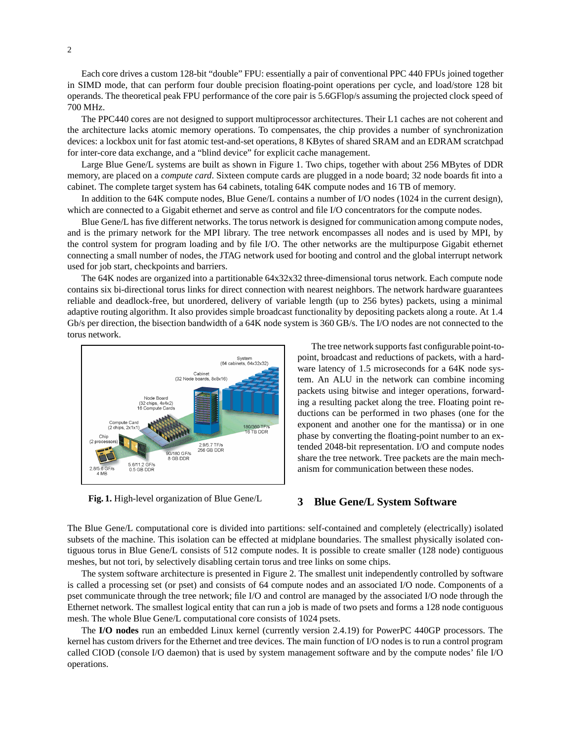Each core drives a custom 128-bit "double" FPU: essentially a pair of conventional PPC 440 FPUs joined together in SIMD mode, that can perform four double precision floating-point operations per cycle, and load/store 128 bit operands. The theoretical peak FPU performance of the core pair is 5.6GFlop/s assuming the projected clock speed of 700 MHz.

The PPC440 cores are not designed to support multiprocessor architectures. Their L1 caches are not coherent and the architecture lacks atomic memory operations. To compensates, the chip provides a number of synchronization devices: a lockbox unit for fast atomic test-and-set operations, 8 KBytes of shared SRAM and an EDRAM scratchpad for inter-core data exchange, and a "blind device" for explicit cache management.

Large Blue Gene/L systems are built as shown in Figure 1. Two chips, together with about 256 MBytes of DDR memory, are placed on a *compute card*. Sixteen compute cards are plugged in a node board; 32 node boards fit into a cabinet. The complete target system has 64 cabinets, totaling 64K compute nodes and 16 TB of memory.

In addition to the 64K compute nodes, Blue Gene/L contains a number of I/O nodes (1024 in the current design), which are connected to a Gigabit ethernet and serve as control and file I/O concentrators for the compute nodes.

Blue Gene/L has five different networks. The torus network is designed for communication among compute nodes, and is the primary network for the MPI library. The tree network encompasses all nodes and is used by MPI, by the control system for program loading and by file I/O. The other networks are the multipurpose Gigabit ethernet connecting a small number of nodes, the JTAG network used for booting and control and the global interrupt network used for job start, checkpoints and barriers.

The 64K nodes are organized into a partitionable 64x32x32 three-dimensional torus network. Each compute node contains six bi-directional torus links for direct connection with nearest neighbors. The network hardware guarantees reliable and deadlock-free, but unordered, delivery of variable length (up to 256 bytes) packets, using a minimal adaptive routing algorithm. It also provides simple broadcast functionality by depositing packets along a route. At 1.4 Gb/s per direction, the bisection bandwidth of a 64K node system is 360 GB/s. The I/O nodes are not connected to the torus network.



**Fig. 1.** High-level organization of Blue Gene/L

The tree network supports fast configurable point-topoint, broadcast and reductions of packets, with a hardware latency of 1.5 microseconds for a 64K node system. An ALU in the network can combine incoming packets using bitwise and integer operations, forwarding a resulting packet along the tree. Floating point reductions can be performed in two phases (one for the exponent and another one for the mantissa) or in one phase by converting the floating-point number to an extended 2048-bit representation. I/O and compute nodes share the tree network. Tree packets are the main mechanism for communication between these nodes.

#### **3 Blue Gene/L System Software**

The Blue Gene/L computational core is divided into partitions: self-contained and completely (electrically) isolated subsets of the machine. This isolation can be effected at midplane boundaries. The smallest physically isolated contiguous torus in Blue Gene/L consists of 512 compute nodes. It is possible to create smaller (128 node) contiguous meshes, but not tori, by selectively disabling certain torus and tree links on some chips.

The system software architecture is presented in Figure 2. The smallest unit independently controlled by software is called a processing set (or pset) and consists of 64 compute nodes and an associated I/O node. Components of a pset communicate through the tree network; file I/O and control are managed by the associated I/O node through the Ethernet network. The smallest logical entity that can run a job is made of two psets and forms a 128 node contiguous mesh. The whole Blue Gene/L computational core consists of 1024 psets.

The **I/O nodes** run an embedded Linux kernel (currently version 2.4.19) for PowerPC 440GP processors. The kernel has custom drivers for the Ethernet and tree devices. The main function of I/O nodes is to run a control program called CIOD (console I/O daemon) that is used by system management software and by the compute nodes' file I/O operations.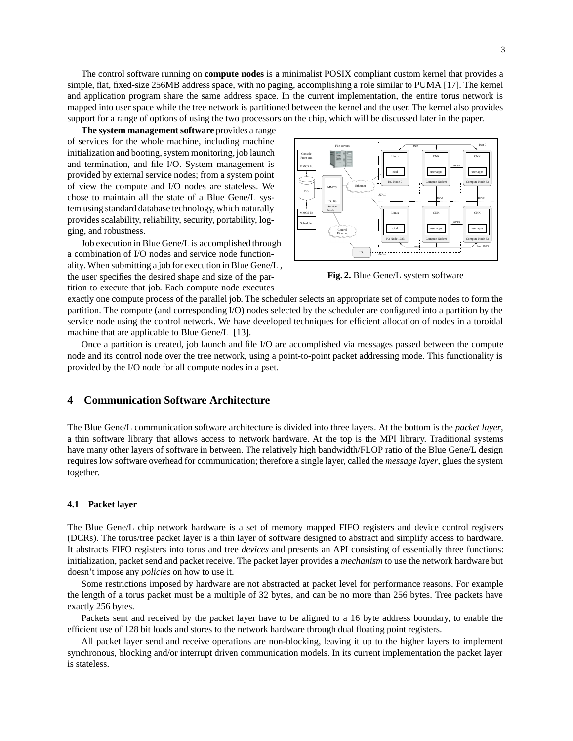The control software running on **compute nodes** is a minimalist POSIX compliant custom kernel that provides a simple, flat, fixed-size 256MB address space, with no paging, accomplishing a role similar to PUMA [17]. The kernel and application program share the same address space. In the current implementation, the entire torus network is mapped into user space while the tree network is partitioned between the kernel and the user. The kernel also provides support for a range of options of using the two processors on the chip, which will be discussed later in the paper.

**The system management software** provides a range of services for the whole machine, including machine initialization and booting, system monitoring, job launch and termination, and file I/O. System management is provided by external service nodes; from a system point of view the compute and I/O nodes are stateless. We chose to maintain all the state of a Blue Gene/L system using standard database technology, which naturally provides scalability, reliability, security, portability, logging, and robustness.

Job execution in Blue Gene/L is accomplished through a combination of I/O nodes and service node functionality. When submitting a job for execution in Blue Gene/L , the user specifies the desired shape and size of the partition to execute that job. Each compute node executes



**Fig. 2.** Blue Gene/L system software

exactly one compute process of the parallel job. The scheduler selects an appropriate set of compute nodes to form the partition. The compute (and corresponding I/O) nodes selected by the scheduler are configured into a partition by the service node using the control network. We have developed techniques for efficient allocation of nodes in a toroidal machine that are applicable to Blue Gene/L [13].

Once a partition is created, job launch and file I/O are accomplished via messages passed between the compute node and its control node over the tree network, using a point-to-point packet addressing mode. This functionality is provided by the I/O node for all compute nodes in a pset.

#### **4 Communication Software Architecture**

The Blue Gene/L communication software architecture is divided into three layers. At the bottom is the *packet layer*, a thin software library that allows access to network hardware. At the top is the MPI library. Traditional systems have many other layers of software in between. The relatively high bandwidth/FLOP ratio of the Blue Gene/L design requires low software overhead for communication; therefore a single layer, called the *message layer*, glues the system together.

#### **4.1 Packet layer**

The Blue Gene/L chip network hardware is a set of memory mapped FIFO registers and device control registers (DCRs). The torus/tree packet layer is a thin layer of software designed to abstract and simplify access to hardware. It abstracts FIFO registers into torus and tree *devices* and presents an API consisting of essentially three functions: initialization, packet send and packet receive. The packet layer provides a *mechanism* to use the network hardware but doesn't impose any *policies* on how to use it.

Some restrictions imposed by hardware are not abstracted at packet level for performance reasons. For example the length of a torus packet must be a multiple of 32 bytes, and can be no more than 256 bytes. Tree packets have exactly 256 bytes.

Packets sent and received by the packet layer have to be aligned to a 16 byte address boundary, to enable the efficient use of 128 bit loads and stores to the network hardware through dual floating point registers.

All packet layer send and receive operations are non-blocking, leaving it up to the higher layers to implement synchronous, blocking and/or interrupt driven communication models. In its current implementation the packet layer is stateless.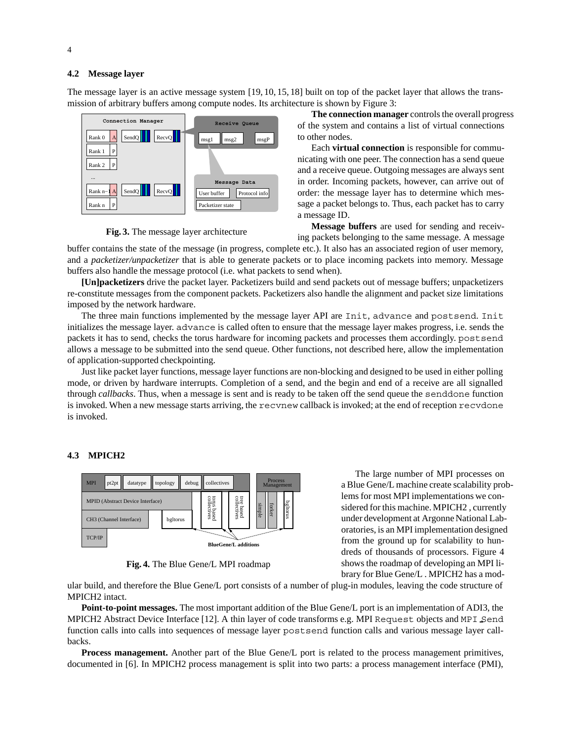#### **4.2 Message layer**

The message layer is an active message system [19, 10, 15, 18] built on top of the packet layer that allows the transmission of arbitrary buffers among compute nodes. Its architecture is shown by Figure 3:



**Fig. 3.** The message layer architecture

**The connection manager** controls the overall progress of the system and contains a list of virtual connections to other nodes.

Each **virtual connection** is responsible for communicating with one peer. The connection has a send queue and a receive queue. Outgoing messages are always sent in order. Incoming packets, however, can arrive out of order: the message layer has to determine which message a packet belongs to. Thus, each packet has to carry a message ID.

**Message buffers** are used for sending and receiving packets belonging to the same message. A message

buffer contains the state of the message (in progress, complete etc.). It also has an associated region of user memory, and a *packetizer/unpacketizer* that is able to generate packets or to place incoming packets into memory. Message buffers also handle the message protocol (i.e. what packets to send when).

**[Un]packetizers** drive the packet layer. Packetizers build and send packets out of message buffers; unpacketizers re-constitute messages from the component packets. Packetizers also handle the alignment and packet size limitations imposed by the network hardware.

The three main functions implemented by the message layer API are Init, advance and postsend. Init initializes the message layer. advance is called often to ensure that the message layer makes progress, i.e. sends the packets it has to send, checks the torus hardware for incoming packets and processes them accordingly. postsend allows a message to be submitted into the send queue. Other functions, not described here, allow the implementation of application-supported checkpointing.

Just like packet layer functions, message layer functions are non-blocking and designed to be used in either polling mode, or driven by hardware interrupts. Completion of a send, and the begin and end of a receive are all signalled through *callbacks*. Thus, when a message is sent and is ready to be taken off the send queue the senddone function is invoked. When a new message starts arriving, the recvnew callback is invoked; at the end of reception recvdone is invoked.

#### **4.3 MPICH2**



**Fig. 4.** The Blue Gene/L MPI roadmap

The large number of MPI processes on a Blue Gene/L machine create scalability problems for most MPI implementations we considered for this machine. MPICH2 , currently under development at Argonne National Laboratories, is an MPI implementation designed from the ground up for scalability to hundreds of thousands of processors. Figure 4 shows the roadmap of developing an MPI library for Blue Gene/L . MPICH2 has a mod-

ular build, and therefore the Blue Gene/L port consists of a number of plug-in modules, leaving the code structure of MPICH2 intact.

**Point-to-point messages.** The most important addition of the Blue Gene/L port is an implementation of ADI3, the MPICH2 Abstract Device Interface [12]. A thin layer of code transforms e.g. MPI Request objects and MPI Send function calls into calls into sequences of message layer postsend function calls and various message layer callbacks.

**Process management.** Another part of the Blue Gene/L port is related to the process management primitives, documented in [6]. In MPICH2 process management is split into two parts: a process management interface (PMI),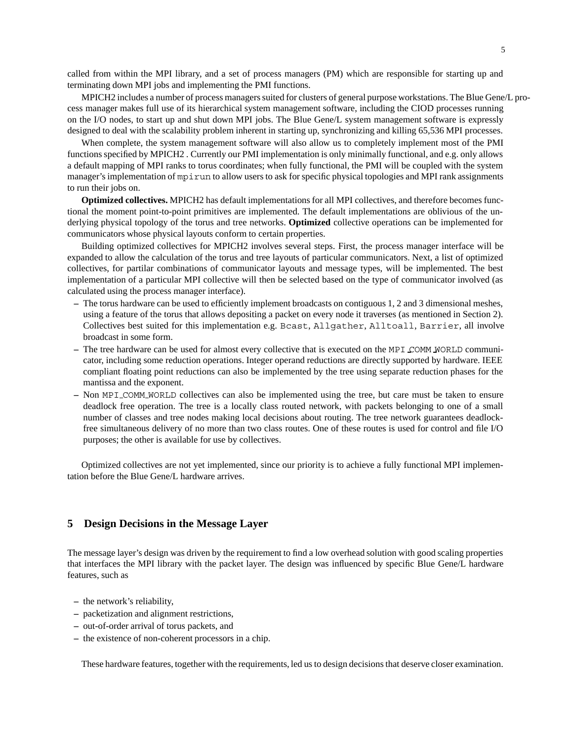called from within the MPI library, and a set of process managers (PM) which are responsible for starting up and terminating down MPI jobs and implementing the PMI functions.

MPICH2 includes a number of process managers suited for clusters of general purpose workstations. The Blue Gene/L process manager makes full use of its hierarchical system management software, including the CIOD processes running on the I/O nodes, to start up and shut down MPI jobs. The Blue Gene/L system management software is expressly designed to deal with the scalability problem inherent in starting up, synchronizing and killing 65,536 MPI processes.

When complete, the system management software will also allow us to completely implement most of the PMI functions specified by MPICH2 . Currently our PMI implementation is only minimally functional, and e.g. only allows a default mapping of MPI ranks to torus coordinates; when fully functional, the PMI will be coupled with the system manager's implementation of mpirun to allow users to ask for specific physical topologies and MPI rank assignments to run their jobs on.

**Optimized collectives.** MPICH2 has default implementations for all MPI collectives, and therefore becomes functional the moment point-to-point primitives are implemented. The default implementations are oblivious of the underlying physical topology of the torus and tree networks. **Optimized** collective operations can be implemented for communicators whose physical layouts conform to certain properties.

Building optimized collectives for MPICH2 involves several steps. First, the process manager interface will be expanded to allow the calculation of the torus and tree layouts of particular communicators. Next, a list of optimized collectives, for partilar combinations of communicator layouts and message types, will be implemented. The best implementation of a particular MPI collective will then be selected based on the type of communicator involved (as calculated using the process manager interface).

- **–** The torus hardware can be used to efficiently implement broadcasts on contiguous 1, 2 and 3 dimensional meshes, using a feature of the torus that allows depositing a packet on every node it traverses (as mentioned in Section 2). Collectives best suited for this implementation e.g. Bcast, Allgather, Alltoall, Barrier, all involve broadcast in some form.
- **–** The tree hardware can be used for almost every collective that is executed on the MPI COMM WORLD communicator, including some reduction operations. Integer operand reductions are directly supported by hardware. IEEE compliant floating point reductions can also be implemented by the tree using separate reduction phases for the mantissa and the exponent.
- **–** Non MPI COMM WORLD collectives can also be implemented using the tree, but care must be taken to ensure deadlock free operation. The tree is a locally class routed network, with packets belonging to one of a small number of classes and tree nodes making local decisions about routing. The tree network guarantees deadlockfree simultaneous delivery of no more than two class routes. One of these routes is used for control and file I/O purposes; the other is available for use by collectives.

Optimized collectives are not yet implemented, since our priority is to achieve a fully functional MPI implementation before the Blue Gene/L hardware arrives.

#### **5 Design Decisions in the Message Layer**

The message layer's design was driven by the requirement to find a low overhead solution with good scaling properties that interfaces the MPI library with the packet layer. The design was influenced by specific Blue Gene/L hardware features, such as

- **–** the network's reliability,
- **–** packetization and alignment restrictions,
- **–** out-of-order arrival of torus packets, and
- **–** the existence of non-coherent processors in a chip.

These hardware features, together with the requirements, led us to design decisions that deserve closer examination.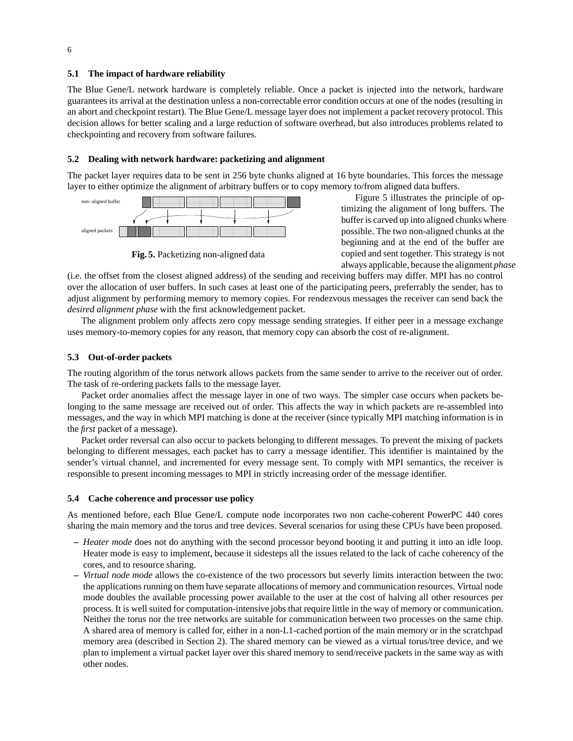#### **5.1 The impact of hardware reliability**

The Blue Gene/L network hardware is completely reliable. Once a packet is injected into the network, hardware guarantees its arrival at the destination unless a non-correctable error condition occurs at one of the nodes (resulting in an abort and checkpoint restart). The Blue Gene/L message layer does not implement a packet recovery protocol. This decision allows for better scaling and a large reduction of software overhead, but also introduces problems related to checkpointing and recovery from software failures.

#### **5.2 Dealing with network hardware: packetizing and alignment**

The packet layer requires data to be sent in 256 byte chunks aligned at 16 byte boundaries. This forces the message layer to either optimize the alignment of arbitrary buffers or to copy memory to/from aligned data buffers.



**Fig. 5.** Packetizing non-aligned data

Figure 5 illustrates the principle of op timizing the alignment of long buffers. The buffer is carved up into aligned chunks where possible. The two non-aligned chunks at the beginning and at the end of the buffer are copied and sent together. This strategy is not always applicable, because the alignment *phase*

(i.e. the offset from the closest aligned address) of the sending and receiving buffers may differ. MPI has no control over the allocation of user buffers. In such cases at least one of the participating peers, preferrably the sender, has to adjust alignment by performing memory to memory copies. For rendezvous messages the receiver can send back the *desired alignment phase* with the first acknowledgement packet.

The alignment problem only affects zero copy message sending strategies. If either peer in a message exchange uses memory-to-memory copies for any reason, that memory copy can absorb the cost of re-alignment.

#### **5.3 Out-of-order packets**

The routing algorithm of the torus network allows packets from the same sender to arrive to the receiver out of order. The task of re-ordering packets falls to the message layer.

Packet order anomalies affect the message layer in one of two ways. The simpler case occurs when packets belonging to the same message are received out of order. This affects the way in which packets are re-assembled into messages, and the way in which MPI matching is done at the receiver (since typically MPI matching information is in the *first* packet of a message).

Packet order reversal can also occur to packets belonging to different messages. To prevent the mixing of packets belonging to different messages, each packet has to carry a message identifier. This identifier is maintained by the sender's virtual channel, and incremented for every message sent. To comply with MPI semantics, the receiver is responsible to present incoming messages to MPI in strictly increasing order of the message identifier.

#### **5.4 Cache coherence and processor use policy**

As mentioned before, each Blue Gene/L compute node incorporates two non cache-coherent PowerPC 440 cores sharing the main memory and the torus and tree devices. Several scenarios for using these CPUs have been proposed.

- **–** *Heater mode* does not do anything with the second processor beyond booting it and putting it into an idle loop. Heater mode is easy to implement, because it sidesteps all the issues related to the lack of cache coherency of the cores, and to resource sharing.
- **–** *Virtual node mode* allows the co-existence of the two processors but severly limits interaction between the two: the applications running on them have separate allocations of memory and communication resources. Virtual node mode doubles the available processing power available to the user at the cost of halving all other resources per process. It is well suited for computation-intensive jobs that require little in the way of memory or communication. Neither the torus nor the tree networks are suitable for communication between two processes on the same chip. A shared area of memory is called for, either in a non-L1-cached portion of the main memory or in the scratchpad memory area (described in Section 2). The shared memory can be viewed as a virtual torus/tree device, and we plan to implement a virtual packet layer over this shared memory to send/receive packets in the same way as with other nodes.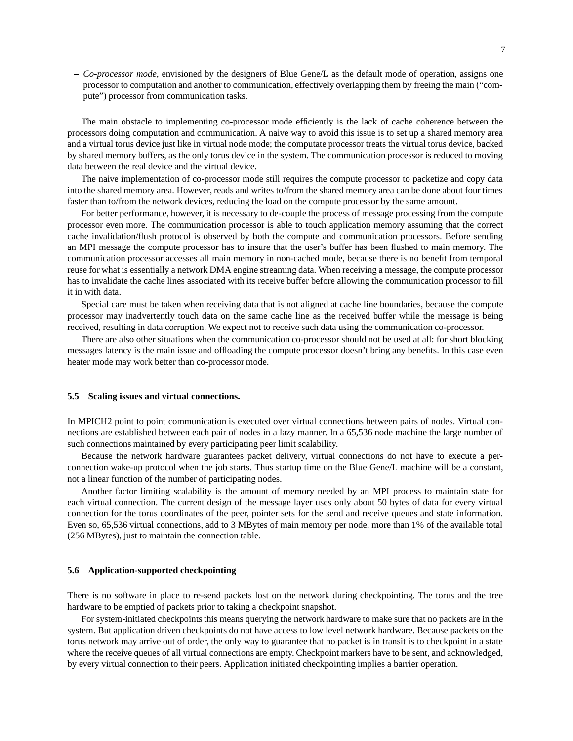**–** *Co-processor mode*, envisioned by the designers of Blue Gene/L as the default mode of operation, assigns one processor to computation and another to communication, effectively overlapping them by freeing the main ("compute") processor from communication tasks.

The main obstacle to implementing co-processor mode efficiently is the lack of cache coherence between the processors doing computation and communication. A naive way to avoid this issue is to set up a shared memory area and a virtual torus device just like in virtual node mode; the computate processor treats the virtual torus device, backed by shared memory buffers, as the only torus device in the system. The communication processor is reduced to moving data between the real device and the virtual device.

The naive implementation of co-processor mode still requires the compute processor to packetize and copy data into the shared memory area. However, reads and writes to/from the shared memory area can be done about four times faster than to/from the network devices, reducing the load on the compute processor by the same amount.

For better performance, however, it is necessary to de-couple the process of message processing from the compute processor even more. The communication processor is able to touch application memory assuming that the correct cache invalidation/flush protocol is observed by both the compute and communication processors. Before sending an MPI message the compute processor has to insure that the user's buffer has been flushed to main memory. The communication processor accesses all main memory in non-cached mode, because there is no benefit from temporal reuse for what is essentially a network DMA engine streaming data. When receiving a message, the compute processor has to invalidate the cache lines associated with its receive buffer before allowing the communication processor to fill it in with data.

Special care must be taken when receiving data that is not aligned at cache line boundaries, because the compute processor may inadvertently touch data on the same cache line as the received buffer while the message is being received, resulting in data corruption. We expect not to receive such data using the communication co-processor.

There are also other situations when the communication co-processor should not be used at all: for short blocking messages latency is the main issue and offloading the compute processor doesn't bring any benefits. In this case even heater mode may work better than co-processor mode.

#### **5.5 Scaling issues and virtual connections.**

In MPICH2 point to point communication is executed over virtual connections between pairs of nodes. Virtual connections are established between each pair of nodes in a lazy manner. In a 65,536 node machine the large number of such connections maintained by every participating peer limit scalability.

Because the network hardware guarantees packet delivery, virtual connections do not have to execute a perconnection wake-up protocol when the job starts. Thus startup time on the Blue Gene/L machine will be a constant, not a linear function of the number of participating nodes.

Another factor limiting scalability is the amount of memory needed by an MPI process to maintain state for each virtual connection. The current design of the message layer uses only about 50 bytes of data for every virtual connection for the torus coordinates of the peer, pointer sets for the send and receive queues and state information. Even so, 65,536 virtual connections, add to 3 MBytes of main memory per node, more than 1% of the available total (256 MBytes), just to maintain the connection table.

#### **5.6 Application-supported checkpointing**

There is no software in place to re-send packets lost on the network during checkpointing. The torus and the tree hardware to be emptied of packets prior to taking a checkpoint snapshot.

For system-initiated checkpoints this means querying the network hardware to make sure that no packets are in the system. But application driven checkpoints do not have access to low level network hardware. Because packets on the torus network may arrive out of order, the only way to guarantee that no packet is in transit is to checkpoint in a state where the receive queues of all virtual connections are empty. Checkpoint markers have to be sent, and acknowledged, by every virtual connection to their peers. Application initiated checkpointing implies a barrier operation.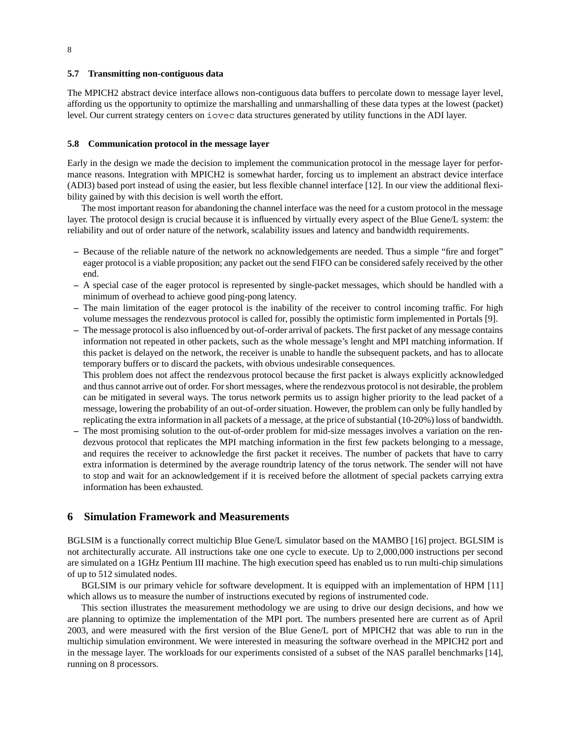#### **5.7 Transmitting non-contiguous data**

The MPICH2 abstract device interface allows non-contiguous data buffers to percolate down to message layer level, affording us the opportunity to optimize the marshalling and unmarshalling of these data types at the lowest (packet) level. Our current strategy centers on iovec data structures generated by utility functions in the ADI layer.

#### **5.8 Communication protocol in the message layer**

Early in the design we made the decision to implement the communication protocol in the message layer for performance reasons. Integration with MPICH2 is somewhat harder, forcing us to implement an abstract device interface (ADI3) based port instead of using the easier, but less flexible channel interface [12]. In our view the additional flexibility gained by with this decision is well worth the effort.

The most important reason for abandoning the channel interface was the need for a custom protocol in the message layer. The protocol design is crucial because it is influenced by virtually every aspect of the Blue Gene/L system: the reliability and out of order nature of the network, scalability issues and latency and bandwidth requirements.

- **–** Because of the reliable nature of the network no acknowledgements are needed. Thus a simple "fire and forget" eager protocol is a viable proposition; any packet out the send FIFO can be considered safely received by the other end.
- **–** A special case of the eager protocol is represented by single-packet messages, which should be handled with a minimum of overhead to achieve good ping-pong latency.
- **–** The main limitation of the eager protocol is the inability of the receiver to control incoming traffic. For high volume messages the rendezvous protocol is called for, possibly the optimistic form implemented in Portals [9].
- **–** The message protocol is also influenced by out-of-order arrival of packets. The first packet of any message contains information not repeated in other packets, such as the whole message's lenght and MPI matching information. If this packet is delayed on the network, the receiver is unable to handle the subsequent packets, and has to allocate temporary buffers or to discard the packets, with obvious undesirable consequences.

This problem does not affect the rendezvous protocol because the first packet is always explicitly acknowledged and thus cannot arrive out of order. For short messages, where the rendezvous protocol is not desirable, the problem can be mitigated in several ways. The torus network permits us to assign higher priority to the lead packet of a message, lowering the probability of an out-of-order situation. However, the problem can only be fully handled by replicating the extra information in all packets of a message, at the price of substantial (10-20%) loss of bandwidth.

**–** The most promising solution to the out-of-order problem for mid-size messages involves a variation on the rendezvous protocol that replicates the MPI matching information in the first few packets belonging to a message, and requires the receiver to acknowledge the first packet it receives. The number of packets that have to carry extra information is determined by the average roundtrip latency of the torus network. The sender will not have to stop and wait for an acknowledgement if it is received before the allotment of special packets carrying extra information has been exhausted.

#### **6 Simulation Framework and Measurements**

BGLSIM is a functionally correct multichip Blue Gene/L simulator based on the MAMBO [16] project. BGLSIM is not architecturally accurate. All instructions take one one cycle to execute. Up to 2,000,000 instructions per second are simulated on a 1GHz Pentium III machine. The high execution speed has enabled us to run multi-chip simulations of up to 512 simulated nodes.

BGLSIM is our primary vehicle for software development. It is equipped with an implementation of HPM [11] which allows us to measure the number of instructions executed by regions of instrumented code.

This section illustrates the measurement methodology we are using to drive our design decisions, and how we are planning to optimize the implementation of the MPI port. The numbers presented here are current as of April 2003, and were measured with the first version of the Blue Gene/L port of MPICH2 that was able to run in the multichip simulation environment. We were interested in measuring the software overhead in the MPICH2 port and in the message layer. The workloads for our experiments consisted of a subset of the NAS parallel benchmarks [14], running on 8 processors.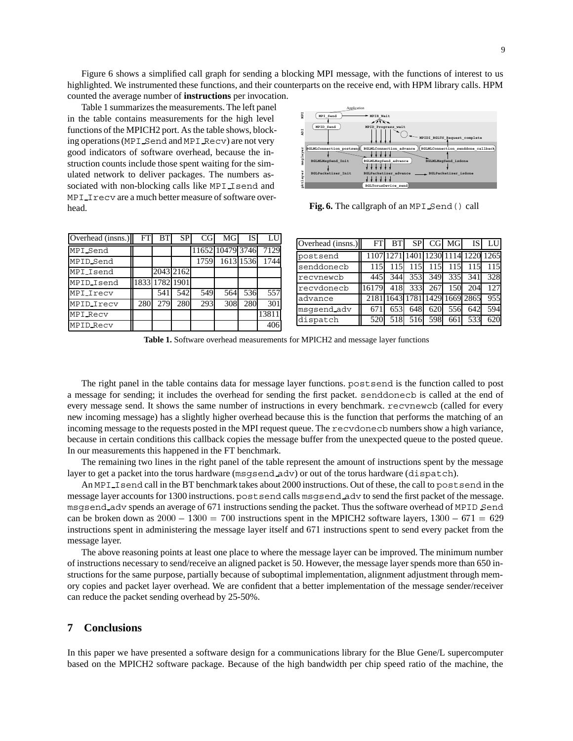Figure 6 shows a simplified call graph for sending a blocking MPI message, with the functions of interest to us highlighted. We instrumented these functions, and their counterparts on the receive end, with HPM library calls. HPM counted the average number of **instructions** per invocation.

Table 1 summarizes the measurements. The left panel in the table contains measurements for the high level functions of the MPICH2 port. As the table shows, blocking operations (MPI Send and MPI Recv) are not very good indicators of software overhead, because the instruction counts include those spent waiting for the simulated network to deliver packages. The numbers associated with non-blocking calls like MPI Isend and MPI I recv are a much better measure of software overhead.



**Fig. 6.** The callgraph of an MPI Send() call

| Overhead (insns.) | FT  | BТ             | SP        | CG   | MG               | IS        | LU    |
|-------------------|-----|----------------|-----------|------|------------------|-----------|-------|
| MPI Send          |     |                |           |      | 11652 10479 3746 |           | 7129  |
| MPID_Send         |     |                |           | 1759 |                  | 1613 1536 | 1744  |
| MPI Isend         |     |                | 2043 2162 |      |                  |           |       |
| MPID Isend        |     | 1833 1782 1901 |           |      |                  |           |       |
| MPI_Irecv         |     | 541            | 542       | 549  | 564              | 536       | 557   |
| MPID_Irecv        | 280 | 279            | 280       | 293  | 308              | 280       | 301   |
| <b>MPI Recv</b>   |     |                |           |      |                  |           | 13811 |
| <b>MPID Recv</b>  |     |                |           |      |                  |           | 406   |

| Overhead (insns.) | <b>FTI</b> | <b>BTI</b> | <b>SP</b> |             | $CG$ $MG$ | <b>IS</b>                          | LUI |
|-------------------|------------|------------|-----------|-------------|-----------|------------------------------------|-----|
| postsend          |            |            |           |             |           | 1107 1271 1401 1230 1114 1220 1265 |     |
| senddonecb        | 115        | 115        | 115       | 115         | 115       | 115                                | 115 |
| recynewcb         | 445        | 344        |           | 353 349 335 |           | 341                                | 328 |
| recvdonecb        | 16179      | 418        |           | 333 267     | 150       | 204                                | 127 |
| advance           |            |            |           |             |           | 2181 1643 1781 1429 1669 2865      | 955 |
| msqsend_adv       | 671        | 653        | 648       | 620         | 556       | 642                                | 594 |
| dispatch          | 520        | 518        | 516       | 598         | 661       | 533                                | 620 |

**Table 1.** Software overhead measurements for MPICH2 and message layer functions

The right panel in the table contains data for message layer functions. postsend is the function called to post a message for sending; it includes the overhead for sending the first packet. senddonecb is called at the end of every message send. It shows the same number of instructions in every benchmark. recvnewcb (called for every new incoming message) has a slightly higher overhead because this is the function that performs the matching of an incoming message to the requests posted in the MPI request queue. The recvdonecb numbers show a high variance, because in certain conditions this callback copies the message buffer from the unexpected queue to the posted queue. In our measurements this happened in the FT benchmark.

The remaining two lines in the right panel of the table represent the amount of instructions spent by the message layer to get a packet into the torus hardware (msgsend adv) or out of the torus hardware (dispatch).

An MPI Isend call in the BT benchmark takes about 2000 instructions. Out of these, the call to postsend in the message layer accounts for 1300 instructions. postsend calls msgsend adv to send the first packet of the message. msgsend adv spends an average of 671 instructions sending the packet. Thus the software overhead of MPID Send can be broken down as  $2000 - 1300 = 700$  instructions spent in the MPICH2 software layers,  $1300 - 671 = 629$ instructions spent in administering the message layer itself and 671 instructions spent to send every packet from the message layer.

The above reasoning points at least one place to where the message layer can be improved. The minimum number of instructions necessary to send/receive an aligned packet is 50. However, the message layer spends more than 650 instructions for the same purpose, partially because of suboptimal implementation, alignment adjustment through memory copies and packet layer overhead. We are confident that a better implementation of the message sender/receiver can reduce the packet sending overhead by 25-50%.

#### **7 Conclusions**

In this paper we have presented a software design for a communications library for the Blue Gene/L supercomputer based on the MPICH2 software package. Because of the high bandwidth per chip speed ratio of the machine, the